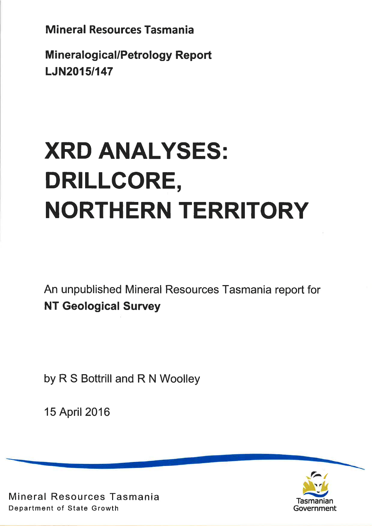**Mineralogical/Petrology Report** LJN20151147

# XRD ANALYSES: DRILLCORE, NORTHERN TERRITORY

An unpublished Mineral Resources Tasmania report for NT Geological Survey

by R S Bottrill and R N Woolley

15 April 2016



Mineral Resources Tasmania Department of State Growth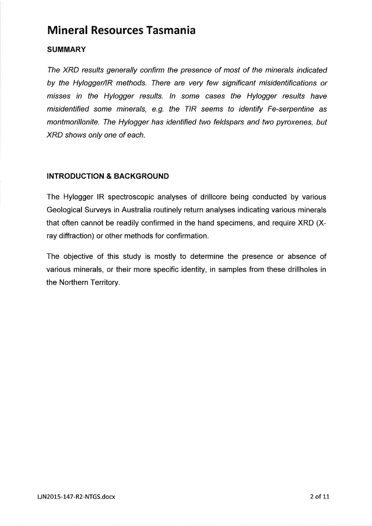## **SUMMARY**

The XRD results generally confirm the presence of most of the minerals indicated by the Hylogger/lR methods. There are very few significant misidentifications or misses in the Hylogger results. In some cases the Hylogger results have misidentified some minerals, e.g. the TIR seems to identify Fe-serpentine as montmorillonite. The Hylogger has identified two feldspars and two pyroxenes, but XRD shows only one of each.

### INTRODUCTION & BACKGROUND

The Hylogger lR spectroscopic analyses of drillcore beíng conducted by various Geological Surveys in Australia routinely return analyses indicating various minerals that often cannot be readily confirmed in the hand specimens, and require XRD (Xray diffraction) or other methods for confirmation.

The objective of this study is mostly to determine the presence or absence of various minerals, or their more specific identity, in samples from these drillholes in the Northern Territory.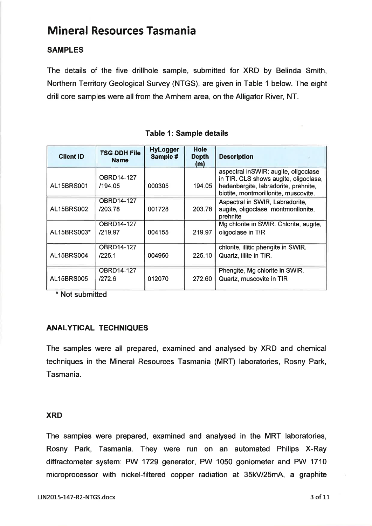## SAMPLES

The details of the five drillhole sample, submitted for XRD by Belinda Smith, Northern Territory Geological Survey (NTGS), are given in Table I below. The eight drill core samples were all from the Arnhem area, on the Alligator River, NT.

| <b>Client ID</b>  | <b>TSG DDH File</b><br><b>Name</b> | <b>HyLogger</b><br>Sample # | <b>Hole</b><br><b>Depth</b><br>(m) | <b>Description</b>                                                                                                                                            |
|-------------------|------------------------------------|-----------------------------|------------------------------------|---------------------------------------------------------------------------------------------------------------------------------------------------------------|
| <b>AL15BRS001</b> | OBRD14-127<br>/194.05              | 000305                      | 194.05                             | aspectral inSWIR; augite, oligoclase<br>in TIR. CLS shows augite, oligoclase,<br>hedenbergite, labradorite, prehnite,<br>biotite, montmorillonite, muscovite. |
| <b>AL15BRS002</b> | OBRD14-127<br>/203.78              | 001728                      | 203.78                             | Aspectral in SWIR, Labradorite,<br>augite, oligoclase, montmorillonite.<br>prehnite                                                                           |
| AL15BRS003*       | <b>OBRD14-127</b><br>/219.97       | 004155                      | 219.97                             | Mg chlorite in SWIR. Chlorite, augite,<br>oligoclase in TIR                                                                                                   |
| AL15BRS004        | <b>OBRD14-127</b><br>/225.1        | 004950                      | 225.10                             | chlorite, illitic phengite in SWIR.<br>Quartz, illite in TIR.                                                                                                 |
| <b>AL15BRS005</b> | <b>OBRD14-127</b><br>1272.6        | 012070                      | 272.60                             | Phengite, Mg chlorite in SWIR.<br>Quartz, muscovite in TIR                                                                                                    |

Table 1: Sample details

\* Not submitted

#### ANALYTICAL TECHNIQUES

The samples were all prepared, examined and analysed by XRD and chemical techniques in the Mineral Resources Tasmania (MRT) laboratories, Rosny Park, Tasmania.

#### XRD

The samples were prepared, examined and analysed in the MRT laboratories, Rosny Park, Tasmania. They were run on an automated Philips X-Ray diffractometer system: PW 1729 generator, PW 1050 goniometer and PW 1710 microprocessor with nickel-filtered copper radiation at 35kV/25m4, a graphite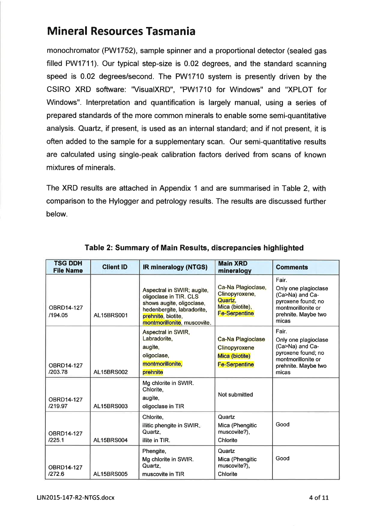monochromator (PW1752), sample spinner and a proportional detector (sealed gas filled PW1711). Our typical step-size is 0.02 degrees, and the standard scanning speed is 0.02 degrees/second. The PW1710 system is presently driven by the CSIRO XRD software: "VisualXRD", "PW171O for Windows" and "XPLOT for Windows". lnterpretation and quantification is largely manual, using a series of prepared standards of the more common minerals to enable some semi-quantitative analysis. Quartz, if present, is used as an internal standard; and if not present, it is often added to the sample for a supplementary scan. Our semi-quantitative results are calculated using single-peak calibration factors derived from scans of known mixtures of minerals.

The XRD results are attached in Appendix 1 and are summarised in Table 2, with comparison to the Hylogger and petrology results. The results are discussed further below.

| <b>TSG DDH</b><br><b>File Name</b> | <b>Client ID</b>  | <b>IR mineralogy (NTGS)</b>                                                                                                                                          | <b>Main XRD</b><br>mineralogy                                                              | <b>Comments</b>                                                                                                              |
|------------------------------------|-------------------|----------------------------------------------------------------------------------------------------------------------------------------------------------------------|--------------------------------------------------------------------------------------------|------------------------------------------------------------------------------------------------------------------------------|
| OBRD14-127<br>/194.05              | AL15BRS001        | Aspectral in SWIR; augite,<br>oligoclase in TIR. CLS<br>shows augite, oligoclase,<br>hedenbergite, labradorite,<br>prehnite, biotite,<br>montmorillonite, muscovite. | Ca-Na Plagioclase,<br>Clinopyroxene,<br>Quartz,<br>Mica (biotite),<br><b>Fe-Serpentine</b> | Fair.<br>Only one plagioclase<br>(Ca>Na) and Ca-<br>pyroxene found; no<br>montmorillonite or<br>prehnite. Maybe two<br>micas |
| OBRD14-127<br>/203.78              | AL15BRS002        | Aspectral in SWIR,<br>Labradorite,<br>augite,<br>oligoclase,<br>montmorillonite.<br>prehnite                                                                         | <b>Ca-Na Plagioclase</b><br>Clinopyroxene<br>Mica (biotite)<br><b>Fe-Serpentine</b>        | Fair.<br>Only one plagioclase<br>(Ca>Na) and Ca-<br>pyroxene found; no<br>montmorillonite or<br>prehnite. Maybe two<br>micas |
| OBRD14-127<br>/219.97              | AL15BRS003        | Mg chlorite in SWIR.<br>Chlorite,<br>augite,<br>oligoclase in TIR                                                                                                    | Not submitted                                                                              |                                                                                                                              |
| OBRD14-127<br>/225.1               | <b>AL15BRS004</b> | Chlorite,<br>illitic phengite in SWIR.<br>Quartz,<br>illite in TIR.                                                                                                  | Quartz<br>Mica (Phengitic<br>muscovite?),<br>Chlorite                                      | Good                                                                                                                         |
| <b>OBRD14-127</b><br>/272.6        | AL15BRS005        | Phengite,<br>Mg chlorite in SWIR.<br>Quartz.<br>muscovite in TIR                                                                                                     | Quartz<br>Mica (Phengitic<br>muscovite?),<br>Chlorite                                      | Good                                                                                                                         |

#### Table 2: Summary of Main Results, discrepancies highlighted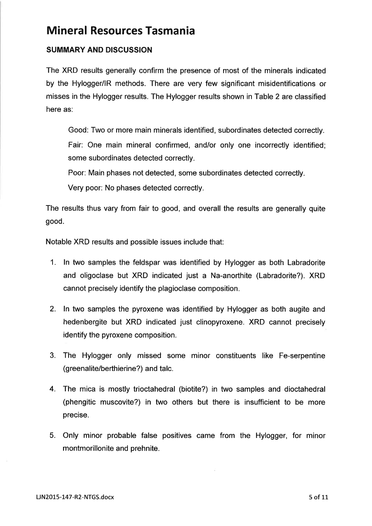### SUMMARY AND DISCUSSION

The XRD results generally confirm the presence of most of the minerals indicated by the Hylogger/lR methods. There are very few significant misidentifications or misses in the Hylogger results. The Hylogger results shown in Table 2 are classified here as:

Good: Two or more main minerals identified, subordinates detected correctly. Fair: One main mineral confirmed, and/or only one incorrectly identified; some subordinates detected correctly.

Poor: Main phases not detected, some subordinates detected correctly.

Very poor: No phases detected correctly.

The results thus vary from fair to good, and overall the results are generally quite good.

Notable XRD results and possible issues include that:

- 1. In two samples the feldspar was identified by Hylogger as both Labradorite and oligoclase but XRD indicated just a Na-anorthite (Labradorite?). XRD cannot precisely identify the plagioclase composition.
- 2. In two samples the pyroxene was identified by Hylogger as both augite and hedenbergite but XRD indicated just clinopyroxene. XRD cannot precisely identify the pyroxene composition.
- 3. The Hylogger only missed some minor constituents like Fe-serpentine (greenalite/berthierine?) and talc.
- 4. The mica is mostly trioctahedral (biotite?) in two samples and dioctahedral (phengitic muscovite?) in two others but there is insufficient to be more precise.
- 5. Only minor probable false positives came from the Hylogger, for minor montmorillonite and prehnite.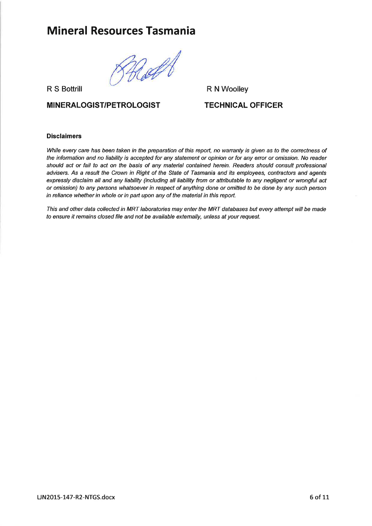Rott

R S Bottrill

#### **MINERALOGIST/PETROLOGIST**

R N Woolley

#### TECHNICAL OFFICER

#### Disclaimers

While every care has been taken in the preparation of this report, no warranty is given as to the correctness of the information and no liability is accepted for any statement or opinion or for any error or omrssion. No reader should act or fail to act on fhe basls of any materíal contained herein. Readers should consult professional advisers. As a result the Crown in Right of the State of Tasmania and its employees, contractors and agents expressly disclaim all and any liability (including all liability from or attributable to any negligent or wrongful act or omission) to any persons whatsoever in respect of anything done or omitted to be done by any such person in reliance whether in whole or in part upon any of the material in this report.

This and other data collected in MRT laboratories may enter the MRT databases but every attempt will be made to ensure it remains closed file and not be available extemally, unless at your request.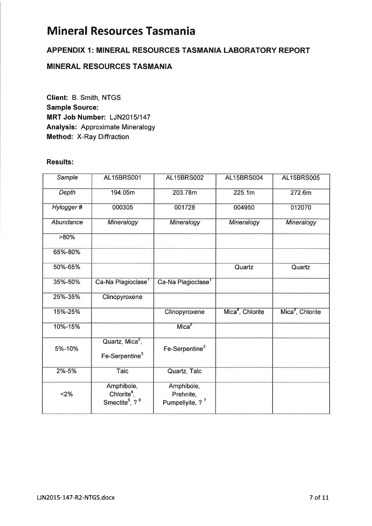#### APPENDIX 1: MINERAL RESOURCES TASMANIA LABORATORY REPORT

## MINERAL RESOURCES TASMANIA

Glient: B. Smith, NTGS Sample Source: MRT Job Number: LJN2015/147 Analysis: Approximate Mineralogy Method: X-Ray Diffraction

#### Results:

| Sample    | <b>AL15BRS001</b>                                                               | <b>AL15BRS002</b>                                      | <b>AL15BRS004</b>            | <b>AL15BRS005</b>            |
|-----------|---------------------------------------------------------------------------------|--------------------------------------------------------|------------------------------|------------------------------|
| Depth     | 194.05m                                                                         | 203.78m                                                | 225.1m                       | 272.6m                       |
| Hylogger# | 000305                                                                          | 001728                                                 | 004950                       | 012070                       |
| Abundance | Mineralogy                                                                      | Mineralogy                                             | Mineralogy                   | Mineralogy                   |
| $>80\%$   |                                                                                 |                                                        |                              |                              |
| 65%-80%   |                                                                                 |                                                        |                              |                              |
| 50%-65%   |                                                                                 |                                                        | Quartz                       | Quartz                       |
| 35%-50%   | Ca-Na Plagioclase <sup>1</sup>                                                  | Ca-Na Plagioclase <sup>1</sup>                         |                              |                              |
| 25%-35%   | Clinopyroxene                                                                   |                                                        |                              |                              |
| 15%-25%   |                                                                                 | Clinopyroxene                                          | Mica <sup>8</sup> , Chlorite | Mica <sup>8</sup> , Chlorite |
| 10%-15%   |                                                                                 | Mica <sup>2</sup>                                      |                              |                              |
| 5%-10%    | Quartz, Mica <sup>2</sup> ,<br>Fe-Serpentine <sup>3</sup>                       | Fe-Serpentine <sup>3</sup>                             |                              |                              |
| 2%-5%     | Talc                                                                            | Quartz, Talc                                           |                              |                              |
| $2\%$     | Amphibole,<br>Chlorite <sup>4</sup> ,<br>Smectite <sup>5</sup> , ? <sup>6</sup> | Amphibole,<br>Prehnite,<br>Pumpellyite, ? <sup>7</sup> |                              |                              |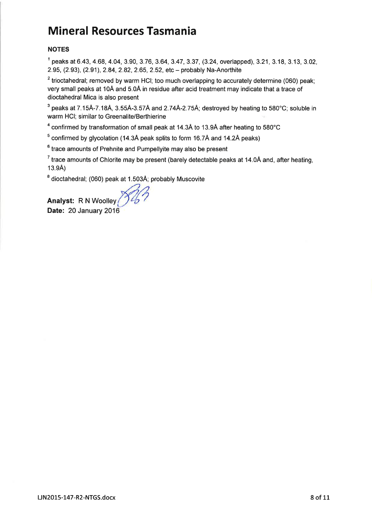#### NOTES

 $1$  peaks at 6.43, 4.68, 4.04, 3.90, 3.76, 3.64, 3.47, 3.37, (3.24, overlapped), 3.21, 3.18, 3.13, 3.02, 2.95, (2.93), (2.91), 2.84, 2.82, 2.65, 2.52, etc - probably Na-Anorthite

 $2$  trioctahedral; removed by warm HCI; too much overlapping to accurately determine (060) peak; very small peaks at 10Å and 5.0Å in residue after acid treatment may indicate that a trace of dioctahedral Mica is also present

 $3$  peaks at 7.15Å-7.18Å, 3.55Å-3.57Å and 2.74Å-2.75Å; destroyed by heating to 580°C; soluble in warm HCI; similar to Greenalite/Berthierine

 $^4$  confirmed by transformation of small peak at 14.3Å to 13.9Å after heating to 580°C

 $5$  confirmed by glycolation (14.3Å peak splits to form 16.7Å and 14.2Å peaks)

 $6$  trace amounts of Prehnite and Pumpellyite may also be present

 $\frac{7}{1}$  trace amounts of Chlorite may be present (barely detectable peaks at 14.0Å and, after heating, 13.9Å)

 $^8$  dioctahedral; (060) peak at 1.503Å; probably Muscovite

Analyst: R N Woolley Date: 20 January 2016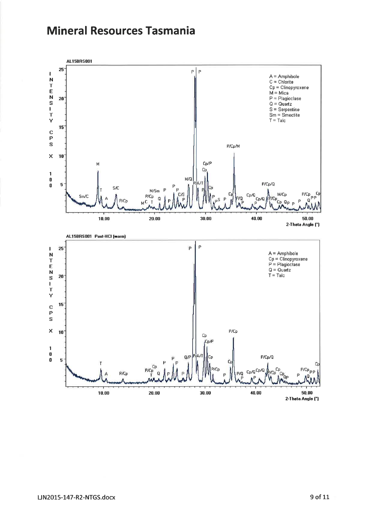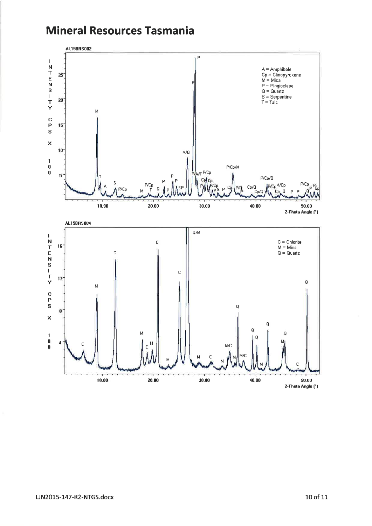